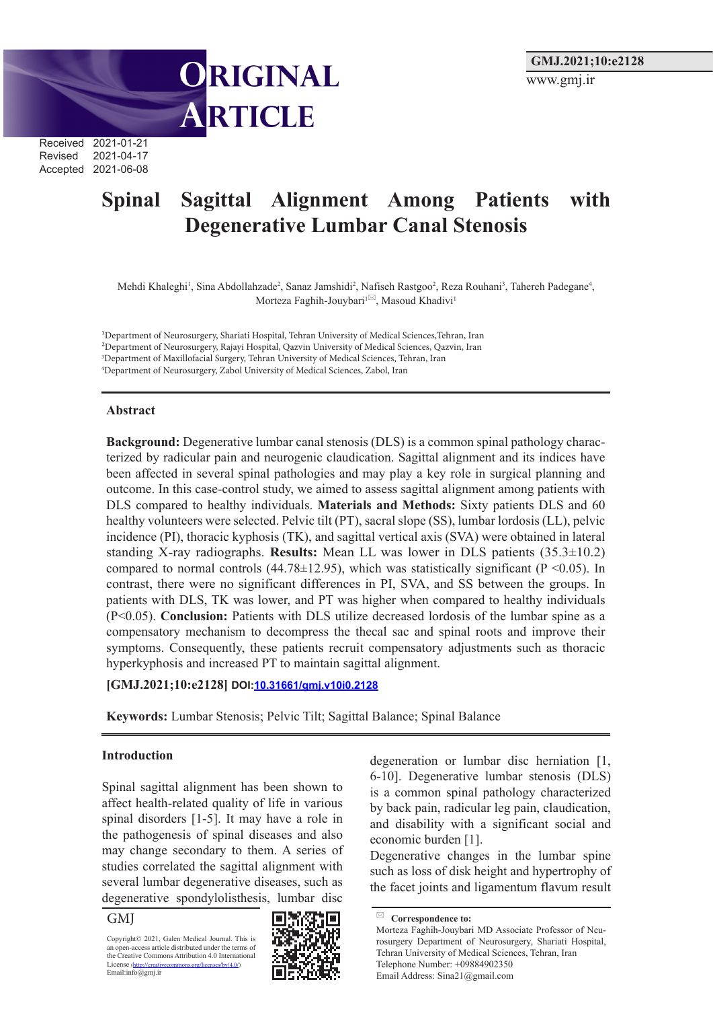Received 2021-01-21 Revised 2021-04-17 Accepted 2021-06-08

# **Spinal Sagittal Alignment Among Patients with Degenerative Lumbar Canal Stenosis**

Mehdi Khaleghi<sup>1</sup>, Sina Abdollahzade<sup>2</sup>, Sanaz Jamshidi<sup>2</sup>, Nafiseh Rastgoo<sup>2</sup>, Reza Rouhani<sup>3</sup>, Tahereh Padegane<sup>4</sup>, Morteza Faghih-Jouybari<sup>1⊠</sup>, Masoud Khadivi<sup>1</sup>

1Department of Neurosurgery, Shariati Hospital, Tehran University of Medical Sciences,Tehran, Iran 2Department of Neurosurgery, Rajayi Hospital, Qazvin University of Medical Sciences, Qazvin, Iran 3 Department of Maxillofacial Surgery, Tehran University of Medical Sciences, Tehran, Iran 4 Department of Neurosurgery, Zabol University of Medical Sciences, Zabol, Iran

ORIGINAL

ARTICLE

#### **Abstract**

**Background:** Degenerative lumbar canal stenosis (DLS) is a common spinal pathology characterized by radicular pain and neurogenic claudication. Sagittal alignment and its indices have been affected in several spinal pathologies and may play a key role in surgical planning and outcome. In this case-control study, we aimed to assess sagittal alignment among patients with DLS compared to healthy individuals. **Materials and Methods:** Sixty patients DLS and 60 healthy volunteers were selected. Pelvic tilt (PT), sacral slope (SS), lumbar lordosis (LL), pelvic incidence (PI), thoracic kyphosis (TK), and sagittal vertical axis (SVA) were obtained in lateral standing X-ray radiographs. **Results:** Mean LL was lower in DLS patients (35.3±10.2) compared to normal controls (44.78 $\pm$ 12.95), which was statistically significant (P <0.05). In contrast, there were no significant differences in PI, SVA, and SS between the groups. In patients with DLS, TK was lower, and PT was higher when compared to healthy individuals (P<0.05). **Conclusion:** Patients with DLS utilize decreased lordosis of the lumbar spine as a compensatory mechanism to decompress the thecal sac and spinal roots and improve their symptoms. Consequently, these patients recruit compensatory adjustments such as thoracic hyperkyphosis and increased PT to maintain sagittal alignment.

#### **[GMJ.2021;10:e2128] DOI:10.31661/gmj.v10i0.2128**

**Keywords:** Lumbar Stenosis; Pelvic Tilt; Sagittal Balance; Spinal Balance

#### **Introduction**

Spinal sagittal alignment has been shown to affect health-related quality of life in various spinal disorders [1-5]. It may have a role in the pathogenesis of spinal diseases and also may change secondary to them. A series of studies correlated the sagittal alignment with several lumbar degenerative diseases, such as degenerative spondylolisthesis, lumbar disc

GMJ

Copyright© 2021, Galen Medical Journal. This is an open-access article distributed under the terms of the Creative Commons Attribution 4.0 International<br>License (http://creativecommons.org/licenses/by/4.0/) License (http://creativecommons.org/licenses/by/4.000) Email:info@gmj.ir



degeneration or lumbar disc herniation [1, 6-10]. Degenerative lumbar stenosis (DLS) is a common spinal pathology characterized by back pain, radicular leg pain, claudication, and disability with a significant social and economic burden [1].

Degenerative changes in the lumbar spine such as loss of disk height and hypertrophy of the facet joints and ligamentum flavum result

**Correspondence to:** Morteza Faghih-Jouybari MD Associate Professor of Neurosurgery Department of Neurosurgery, Shariati Hospital, Tehran University of Medical Sciences, Tehran, Iran Telephone Number: +09884902350 Email Address: Sina21@gmail.com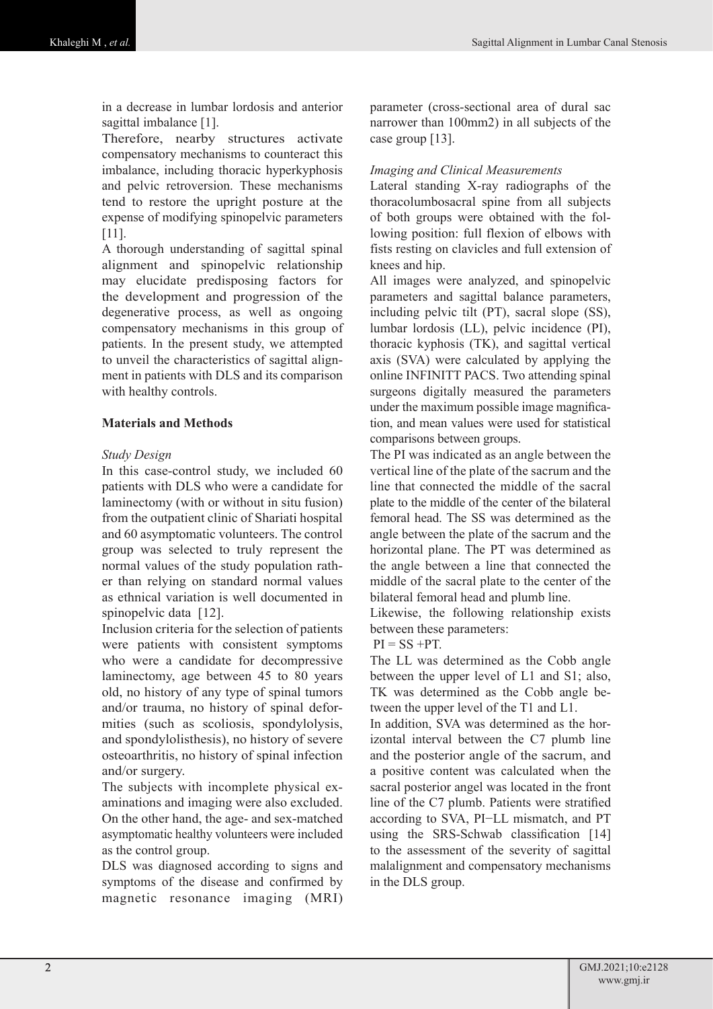in a decrease in lumbar lordosis and anterior sagittal imbalance [1].

Therefore, nearby structures activate compensatory mechanisms to counteract this imbalance, including thoracic hyperkyphosis and pelvic retroversion. These mechanisms tend to restore the upright posture at the expense of modifying spinopelvic parameters [11].

A thorough understanding of sagittal spinal alignment and spinopelvic relationship may elucidate predisposing factors for the development and progression of the degenerative process, as well as ongoing compensatory mechanisms in this group of patients. In the present study, we attempted to unveil the characteristics of sagittal alignment in patients with DLS and its comparison with healthy controls.

# **Materials and Methods**

## *Study Design*

In this case-control study, we included 60 patients with DLS who were a candidate for laminectomy (with or without in situ fusion) from the outpatient clinic of Shariati hospital and 60 asymptomatic volunteers. The control group was selected to truly represent the normal values of the study population rather than relying on standard normal values as ethnical variation is well documented in spinopelvic data [12].

Inclusion criteria for the selection of patients were patients with consistent symptoms who were a candidate for decompressive laminectomy, age between 45 to 80 years old, no history of any type of spinal tumors and/or trauma, no history of spinal deformities (such as scoliosis, spondylolysis, and spondylolisthesis), no history of severe osteoarthritis, no history of spinal infection and/or surgery.

The subjects with incomplete physical examinations and imaging were also excluded. On the other hand, the age- and sex-matched asymptomatic healthy volunteers were included as the control group.

DLS was diagnosed according to signs and symptoms of the disease and confirmed by magnetic resonance imaging (MRI)

parameter (cross-sectional area of dural sac narrower than 100mm2) in all subjects of the case group [13].

## *Imaging and Clinical Measurements*

Lateral standing X-ray radiographs of the thoracolumbosacral spine from all subjects of both groups were obtained with the following position: full flexion of elbows with fists resting on clavicles and full extension of knees and hip.

All images were analyzed, and spinopelvic parameters and sagittal balance parameters, including pelvic tilt (PT), sacral slope (SS), lumbar lordosis (LL), pelvic incidence (PI), thoracic kyphosis (TK), and sagittal vertical axis (SVA) were calculated by applying the online INFINITT PACS. Two attending spinal surgeons digitally measured the parameters under the maximum possible image magnification, and mean values were used for statistical comparisons between groups.

The PI was indicated as an angle between the vertical line of the plate of the sacrum and the line that connected the middle of the sacral plate to the middle of the center of the bilateral femoral head. The SS was determined as the angle between the plate of the sacrum and the horizontal plane. The PT was determined as the angle between a line that connected the middle of the sacral plate to the center of the bilateral femoral head and plumb line.

Likewise, the following relationship exists between these parameters:

 $PI = SS + PT$ .

The LL was determined as the Cobb angle between the upper level of L1 and S1; also, TK was determined as the Cobb angle between the upper level of the T1 and L1.

In addition, SVA was determined as the horizontal interval between the C7 plumb line and the posterior angle of the sacrum, and a positive content was calculated when the sacral posterior angel was located in the front line of the C7 plumb. Patients were stratified according to SVA, PI−LL mismatch, and PT using the SRS-Schwab classification [14] to the assessment of the severity of sagittal malalignment and compensatory mechanisms in the DLS group.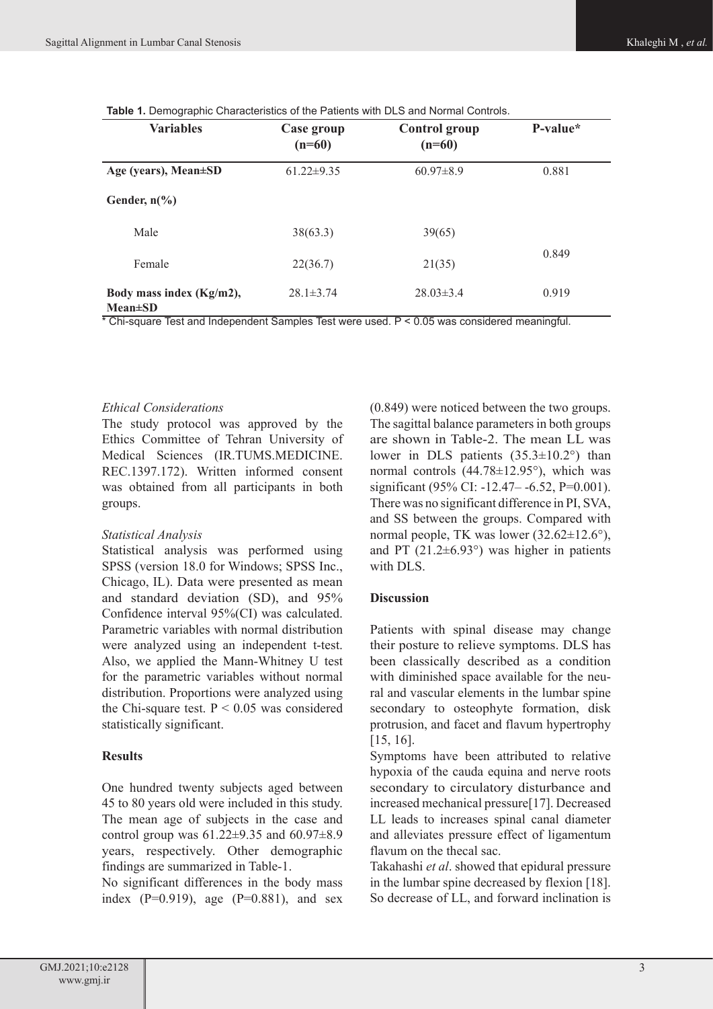**Table 1.** Demographic Characteristics of the Patients with DLS and Normal Controls.

| <b>Variables</b>                          | Case group<br>$(n=60)$ | <b>Control</b> group<br>$(n=60)$ | $P-value*$ |  |
|-------------------------------------------|------------------------|----------------------------------|------------|--|
| Age (years), Mean±SD                      | $61.22 \pm 9.35$       | $60.97\pm8.9$                    | 0.881      |  |
| Gender, $n\frac{6}{6}$                    |                        |                                  |            |  |
| Male                                      | 38(63.3)               | 39(65)                           |            |  |
| Female                                    | 22(36.7)               | 21(35)                           | 0.849      |  |
| Body mass index (Kg/m2),<br>$Mean \pm SD$ | $28.1 \pm 3.74$        | $28.03 \pm 3.4$                  | 0.919      |  |

\* Chi-square Test and Independent Samples Test were used. P < 0.05 was considered meaningful.

#### *Ethical Considerations*

The study protocol was approved by the Ethics Committee of Tehran University of Medical Sciences (IR.TUMS.MEDICINE. REC.1397.172). Written informed consent was obtained from all participants in both groups.

#### *Statistical Analysis*

Statistical analysis was performed using SPSS (version 18.0 for Windows; SPSS Inc., Chicago, IL). Data were presented as mean and standard deviation (SD), and 95% Confidence interval 95%(CI) was calculated. Parametric variables with normal distribution were analyzed using an independent t-test. Also, we applied the Mann-Whitney U test for the parametric variables without normal distribution. Proportions were analyzed using the Chi-square test.  $P < 0.05$  was considered statistically significant.

## **Results**

One hundred twenty subjects aged between 45 to 80 years old were included in this study. The mean age of subjects in the case and control group was  $61.22 \pm 9.35$  and  $60.97 \pm 8.9$ years, respectively. Other demographic findings are summarized in Table-1.

No significant differences in the body mass index  $(P=0.919)$ , age  $(P=0.881)$ , and sex (0.849) were noticed between the two groups. The sagittal balance parameters in both groups are shown in Table-2. The mean LL was lower in DLS patients  $(35.3 \pm 10.2^{\circ})$  than normal controls (44.78±12.95°), which was significant (95% CI: -12.47 – -6.52, P=0.001). There was no significant difference in PI, SVA, and SS between the groups. Compared with normal people, TK was lower (32.62±12.6°), and PT  $(21.2\pm6.93^{\circ})$  was higher in patients with DLS.

## **Discussion**

Patients with spinal disease may change their posture to relieve symptoms. DLS has been classically described as a condition with diminished space available for the neural and vascular elements in the lumbar spine secondary to osteophyte formation, disk protrusion, and facet and flavum hypertrophy [15, 16].

Symptoms have been attributed to relative hypoxia of the cauda equina and nerve roots secondary to circulatory disturbance and increased mechanical pressure[17]. Decreased LL leads to increases spinal canal diameter and alleviates pressure effect of ligamentum flavum on the thecal sac.

Takahashi *et al*. showed that epidural pressure in the lumbar spine decreased by flexion [18]. So decrease of LL, and forward inclination is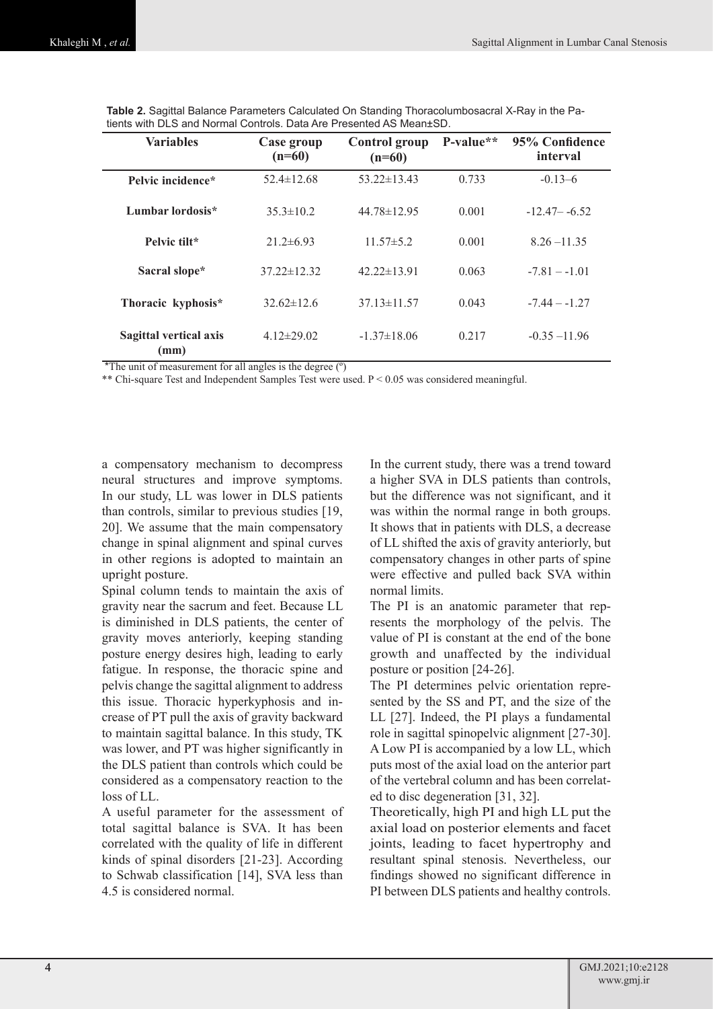| <b>Variables</b>               | Case group<br>$(n=60)$ | <b>Control group</b><br>$(n=60)$ | P-value** | 95% Confidence<br>interval |
|--------------------------------|------------------------|----------------------------------|-----------|----------------------------|
| Pelvic incidence*              | $52.4 \pm 12.68$       | $53.22 \pm 13.43$                | 0.733     | $-0.13-6$                  |
| Lumbar lordosis*               | $35.3 \pm 10.2$        | $44.78 \pm 12.95$                | 0.001     | $-12.47 - -6.52$           |
| Pelvic filt*                   | $21.2\pm 6.93$         | $11.57 \pm 5.2$                  | 0.001     | $8.26 - 11.35$             |
| Sacral slope*                  | $37.22 \pm 12.32$      | $42.22 \pm 13.91$                | 0.063     | $-7.81 - -1.01$            |
| Thoracic kyphosis*             | $32.62 \pm 12.6$       | $37.13 \pm 11.57$                | 0.043     | $-7.44 - -1.27$            |
| Sagittal vertical axis<br>(mm) | $4.12 \pm 29.02$       | $-1.37 \pm 18.06$                | 0.217     | $-0.35 - 11.96$            |

**Table 2.** Sagittal Balance Parameters Calculated On Standing Thoracolumbosacral X-Ray in the Patients with DLS and Normal Controls. Data Are Presented AS Mean±SD.

\*The unit of measurement for all angles is the degree (º)

\*\* Chi-square Test and Independent Samples Test were used.  $P \le 0.05$  was considered meaningful.

a compensatory mechanism to decompress neural structures and improve symptoms. In our study, LL was lower in DLS patients than controls, similar to previous studies [19, 20]. We assume that the main compensatory change in spinal alignment and spinal curves in other regions is adopted to maintain an upright posture.

Spinal column tends to maintain the axis of gravity near the sacrum and feet. Because LL is diminished in DLS patients, the center of gravity moves anteriorly, keeping standing posture energy desires high, leading to early fatigue. In response, the thoracic spine and pelvis change the sagittal alignment to address this issue. Thoracic hyperkyphosis and increase of PT pull the axis of gravity backward to maintain sagittal balance. In this study, TK was lower, and PT was higher significantly in the DLS patient than controls which could be considered as a compensatory reaction to the loss of LL.

A useful parameter for the assessment of total sagittal balance is SVA. It has been correlated with the quality of life in different kinds of spinal disorders [21-23]. According to Schwab classification [14], SVA less than 4.5 is considered normal.

In the current study, there was a trend toward a higher SVA in DLS patients than controls, but the difference was not significant, and it was within the normal range in both groups. It shows that in patients with DLS, a decrease of LL shifted the axis of gravity anteriorly, but compensatory changes in other parts of spine were effective and pulled back SVA within normal limits.

The PI is an anatomic parameter that represents the morphology of the pelvis. The value of PI is constant at the end of the bone growth and unaffected by the individual posture or position [24-26].

The PI determines pelvic orientation represented by the SS and PT, and the size of the LL [27]. Indeed, the PI plays a fundamental role in sagittal spinopelvic alignment [27-30]. A Low PI is accompanied by a low LL, which puts most of the axial load on the anterior part of the vertebral column and has been correlated to disc degeneration [31, 32].

Theoretically, high PI and high LL put the axial load on posterior elements and facet joints, leading to facet hypertrophy and resultant spinal stenosis. Nevertheless, our findings showed no significant difference in PI between DLS patients and healthy controls.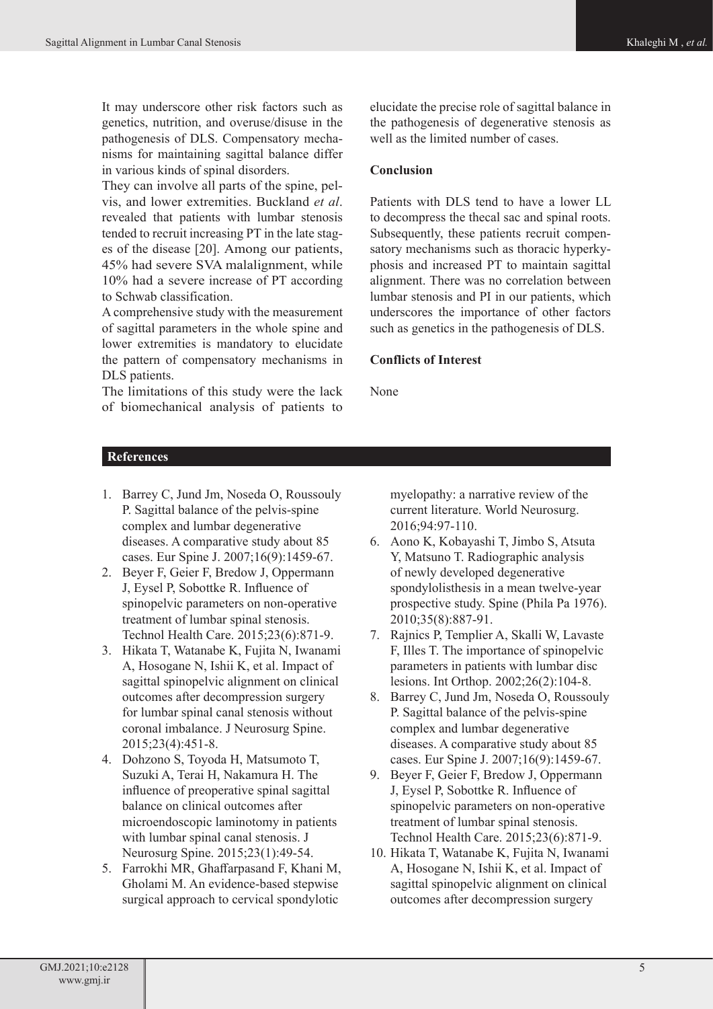It may underscore other risk factors such as genetics, nutrition, and overuse/disuse in the pathogenesis of DLS. Compensatory mechanisms for maintaining sagittal balance differ in various kinds of spinal disorders.

They can involve all parts of the spine, pelvis, and lower extremities. Buckland *et al*. revealed that patients with lumbar stenosis tended to recruit increasing PT in the late stages of the disease [20]. Among our patients, 45% had severe SVA malalignment, while 10% had a severe increase of PT according to Schwab classification.

A comprehensive study with the measurement of sagittal parameters in the whole spine and lower extremities is mandatory to elucidate the pattern of compensatory mechanisms in DLS patients.

The limitations of this study were the lack of biomechanical analysis of patients to

elucidate the precise role of sagittal balance in the pathogenesis of degenerative stenosis as well as the limited number of cases.

## **Conclusion**

Patients with DLS tend to have a lower LL to decompress the thecal sac and spinal roots. Subsequently, these patients recruit compensatory mechanisms such as thoracic hyperkyphosis and increased PT to maintain sagittal alignment. There was no correlation between lumbar stenosis and PI in our patients, which underscores the importance of other factors such as genetics in the pathogenesis of DLS.

# **Conflicts of Interest**

None

## **References**

- 1. Barrey C, Jund Jm, Noseda O, Roussouly P. Sagittal balance of the pelvis-spine complex and lumbar degenerative diseases. A comparative study about 85 cases. Eur Spine J. 2007;16(9):1459-67.
- 2. Beyer F, Geier F, Bredow J, Oppermann J, Eysel P, Sobottke R. Influence of spinopelvic parameters on non-operative treatment of lumbar spinal stenosis. Technol Health Care. 2015;23(6):871-9.
- 3. Hikata T, Watanabe K, Fujita N, Iwanami A, Hosogane N, Ishii K, et al. Impact of sagittal spinopelvic alignment on clinical outcomes after decompression surgery for lumbar spinal canal stenosis without coronal imbalance. J Neurosurg Spine. 2015;23(4):451-8.
- 4. Dohzono S, Toyoda H, Matsumoto T, Suzuki A, Terai H, Nakamura H. The influence of preoperative spinal sagittal balance on clinical outcomes after microendoscopic laminotomy in patients with lumbar spinal canal stenosis. J Neurosurg Spine. 2015;23(1):49-54.
- 5. Farrokhi MR, Ghaffarpasand F, Khani M, Gholami M. An evidence-based stepwise surgical approach to cervical spondylotic

myelopathy: a narrative review of the current literature. World Neurosurg. 2016;94:97-110.

- 6. Aono K, Kobayashi T, Jimbo S, Atsuta Y, Matsuno T. Radiographic analysis of newly developed degenerative spondylolisthesis in a mean twelve-year prospective study. Spine (Phila Pa 1976). 2010;35(8):887-91.
- 7. Rajnics P, Templier A, Skalli W, Lavaste F, Illes T. The importance of spinopelvic parameters in patients with lumbar disc lesions. Int Orthop. 2002;26(2):104-8.
- 8. Barrey C, Jund Jm, Noseda O, Roussouly P. Sagittal balance of the pelvis-spine complex and lumbar degenerative diseases. A comparative study about 85 cases. Eur Spine J. 2007;16(9):1459-67.
- 9. Beyer F, Geier F, Bredow J, Oppermann J, Eysel P, Sobottke R. Influence of spinopelvic parameters on non-operative treatment of lumbar spinal stenosis. Technol Health Care. 2015;23(6):871-9.
- 10. Hikata T, Watanabe K, Fujita N, Iwanami A, Hosogane N, Ishii K, et al. Impact of sagittal spinopelvic alignment on clinical outcomes after decompression surgery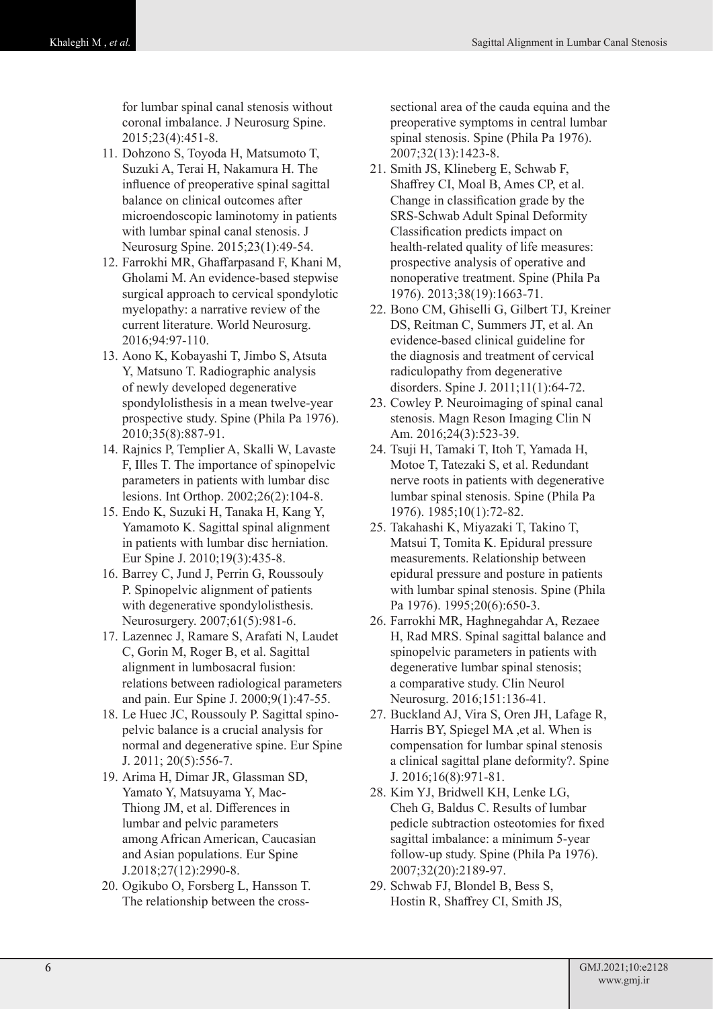for lumbar spinal canal stenosis without coronal imbalance. J Neurosurg Spine. 2015;23(4):451-8.

- 11. Dohzono S, Toyoda H, Matsumoto T, Suzuki A, Terai H, Nakamura H. The influence of preoperative spinal sagittal balance on clinical outcomes after microendoscopic laminotomy in patients with lumbar spinal canal stenosis. J Neurosurg Spine. 2015;23(1):49-54.
- 12. Farrokhi MR, Ghaffarpasand F, Khani M, Gholami M. An evidence-based stepwise surgical approach to cervical spondylotic myelopathy: a narrative review of the current literature. World Neurosurg. 2016;94:97-110.
- 13. Aono K, Kobayashi T, Jimbo S, Atsuta Y, Matsuno T. Radiographic analysis of newly developed degenerative spondylolisthesis in a mean twelve-year prospective study. Spine (Phila Pa 1976). 2010;35(8):887-91.
- 14. Rajnics P, Templier A, Skalli W, Lavaste F, Illes T. The importance of spinopelvic parameters in patients with lumbar disc lesions. Int Orthop. 2002;26(2):104-8.
- 15. Endo K, Suzuki H, Tanaka H, Kang Y, Yamamoto K. Sagittal spinal alignment in patients with lumbar disc herniation. Eur Spine J. 2010;19(3):435-8.
- 16. Barrey C, Jund J, Perrin G, Roussouly P. Spinopelvic alignment of patients with degenerative spondylolisthesis. Neurosurgery. 2007;61(5):981-6.
- 17. Lazennec J, Ramare S, Arafati N, Laudet C, Gorin M, Roger B, et al. Sagittal alignment in lumbosacral fusion: relations between radiological parameters and pain. Eur Spine J. 2000;9(1):47-55.
- 18. Le Huec JC, Roussouly P. Sagittal spinopelvic balance is a crucial analysis for normal and degenerative spine. Eur Spine J. 2011; 20(5):556-7.
- 19. Arima H, Dimar JR, Glassman SD, Yamato Y, Matsuyama Y, Mac-Thiong JM, et al. Differences in lumbar and pelvic parameters among African American, Caucasian and Asian populations. Eur Spine J.2018;27(12):2990-8.
- 20. Ogikubo O, Forsberg L, Hansson T. The relationship between the cross-

sectional area of the cauda equina and the preoperative symptoms in central lumbar spinal stenosis. Spine (Phila Pa 1976). 2007;32(13):1423-8.

- 21. Smith JS, Klineberg E, Schwab F, Shaffrey CI, Moal B, Ames CP, et al. Change in classification grade by the SRS-Schwab Adult Spinal Deformity Classification predicts impact on health-related quality of life measures: prospective analysis of operative and nonoperative treatment. Spine (Phila Pa 1976). 2013;38(19):1663-71.
- 22. Bono CM, Ghiselli G, Gilbert TJ, Kreiner DS, Reitman C, Summers JT, et al. An evidence-based clinical guideline for the diagnosis and treatment of cervical radiculopathy from degenerative disorders. Spine J. 2011;11(1):64-72.
- 23. Cowley P. Neuroimaging of spinal canal stenosis. Magn Reson Imaging Clin N Am. 2016;24(3):523-39.
- 24. Tsuji H, Tamaki T, Itoh T, Yamada H, Motoe T, Tatezaki S, et al. Redundant nerve roots in patients with degenerative lumbar spinal stenosis. Spine (Phila Pa 1976). 1985;10(1):72-82.
- 25. Takahashi K, Miyazaki T, Takino T, Matsui T, Tomita K. Epidural pressure measurements. Relationship between epidural pressure and posture in patients with lumbar spinal stenosis. Spine (Phila Pa 1976). 1995;20(6):650-3.
- 26. Farrokhi MR, Haghnegahdar A, Rezaee H, Rad MRS. Spinal sagittal balance and spinopelvic parameters in patients with degenerative lumbar spinal stenosis; a comparative study. Clin Neurol Neurosurg. 2016;151:136-41.
- 27. Buckland AJ, Vira S, Oren JH, Lafage R, Harris BY, Spiegel MA ,et al. When is compensation for lumbar spinal stenosis a clinical sagittal plane deformity?. Spine J. 2016;16(8):971-81.
- 28. Kim YJ, Bridwell KH, Lenke LG, Cheh G, Baldus C. Results of lumbar pedicle subtraction osteotomies for fixed sagittal imbalance: a minimum 5-year follow-up study. Spine (Phila Pa 1976). 2007;32(20):2189-97.
- 29. Schwab FJ, Blondel B, Bess S, Hostin R, Shaffrey CI, Smith JS,